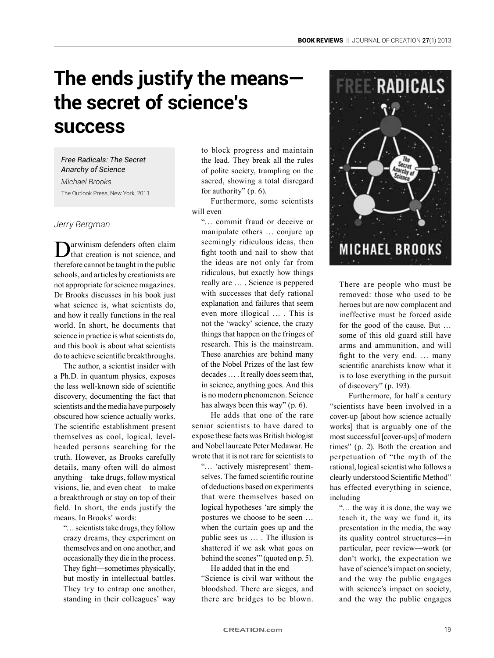# **The ends justify the means the secret of science's success**

*Free Radicals: The Secret Anarchy of Science Michael Brooks* The Outlook Press, New York, 2011

## *Jerry Bergman*

arwinism defenders often claim that creation is not science, and therefore cannot be taught in the public schools, and articles by creationists are not appropriate for science magazines. Dr Brooks discusses in his book just what science is, what scientists do, and how it really functions in the real world. In short, he documents that science in practice is what scientists do, and this book is about what scientists do to achieve scientific breakthroughs.

The author, a scientist insider with a Ph.D. in quantum physics, exposes the less well-known side of scientific discovery, documenting the fact that scientists and the media have purposely obscured how science actually works. The scientific establishment present themselves as cool, logical, levelheaded persons searching for the truth. However, as Brooks carefully details, many often will do almost anything—take drugs, follow mystical visions, lie, and even cheat—to make a breakthrough or stay on top of their field. In short, the ends justify the means. In Brooks' words:

"… scientists take drugs, they follow crazy dreams, they experiment on themselves and on one another, and occasionally they die in the process. They fight—sometimes physically, but mostly in intellectual battles. They try to entrap one another, standing in their colleagues' way

to block progress and maintain the lead. They break all the rules of polite society, trampling on the sacred, showing a total disregard for authority" (p. 6).

Furthermore, some scientists will even

"… commit fraud or deceive or manipulate others … conjure up seemingly ridiculous ideas, then fight tooth and nail to show that the ideas are not only far from ridiculous, but exactly how things really are … . Science is peppered with successes that defy rational explanation and failures that seem even more illogical … . This is not the 'wacky' science, the crazy things that happen on the fringes of research. This is the mainstream. These anarchies are behind many of the Nobel Prizes of the last few decades … . It really does seem that, in science, anything goes. And this is no modern phenomenon. Science has always been this way" (p. 6).

He adds that one of the rare senior scientists to have dared to expose these facts was British biologist and Nobel laureate Peter Medawar. He wrote that it is not rare for scientists to

"… 'actively misrepresent' themselves. The famed scientific routine of deductions based on experiments that were themselves based on logical hypotheses 'are simply the postures we choose to be seen … when the curtain goes up and the public sees us … . The illusion is shattered if we ask what goes on behind the scenes'" (quoted on p. 5).

He added that in the end "Science is civil war without the bloodshed. There are sieges, and there are bridges to be blown.



There are people who must be removed: those who used to be heroes but are now complacent and ineffective must be forced aside for the good of the cause. But … some of this old guard still have arms and ammunition, and will fight to the very end. … many scientific anarchists know what it is to lose everything in the pursuit of discovery" (p. 193).

Furthermore, for half a century "scientists have been involved in a cover-up [about how science actually works] that is arguably one of the most successful [cover-ups] of modern times" (p. 2). Both the creation and perpetuation of "the myth of the rational, logical scientist who follows a clearly understood Scientific Method" has effected everything in science, including

"… the way it is done, the way we teach it, the way we fund it, its presentation in the media, the way its quality control structures—in particular, peer review—work (or don't work), the expectation we have of science's impact on society, and the way the public engages with science's impact on society, and the way the public engages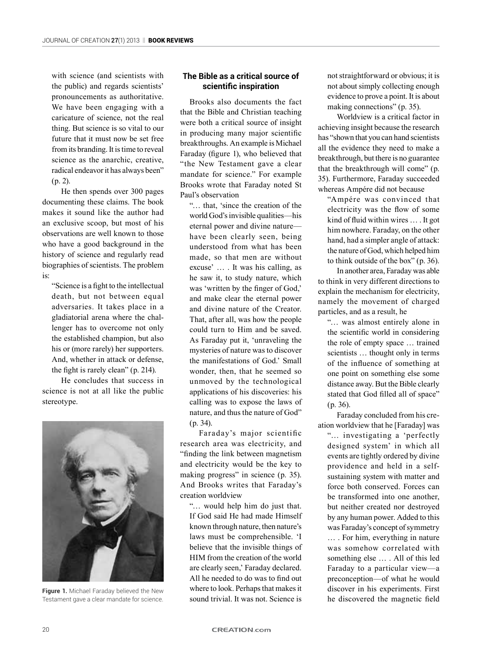with science (and scientists with the public) and regards scientists' pronouncements as authoritative. We have been engaging with a caricature of science, not the real thing. But science is so vital to our future that it must now be set free from its branding. It is time to reveal science as the anarchic, creative, radical endeavor it has always been" (p. 2).

He then spends over 300 pages documenting these claims. The book makes it sound like the author had an exclusive scoop, but most of his observations are well known to those who have a good background in the history of science and regularly read biographies of scientists. The problem is:

"Science is a fight to the intellectual death, but not between equal adversaries. It takes place in a gladiatorial arena where the challenger has to overcome not only the established champion, but also his or (more rarely) her supporters. And, whether in attack or defense, the fight is rarely clean" (p. 214).

He concludes that success in science is not at all like the public stereotype.



**Figure 1.** Michael Faraday believed the New Testament gave a clear mandate for science.

## **The Bible as a critical source of scientific inspiration**

Brooks also documents the fact that the Bible and Christian teaching were both a critical source of insight in producing many major scientific breakthroughs. An example is Michael Faraday (figure 1), who believed that "the New Testament gave a clear mandate for science." For example Brooks wrote that Faraday noted St Paul's observation

"… that, 'since the creation of the world God's invisible qualities—his eternal power and divine nature have been clearly seen, being understood from what has been made, so that men are without excuse' … . It was his calling, as he saw it, to study nature, which was 'written by the finger of God,' and make clear the eternal power and divine nature of the Creator. That, after all, was how the people could turn to Him and be saved. As Faraday put it, 'unraveling the mysteries of nature was to discover the manifestations of God.' Small wonder, then, that he seemed so unmoved by the technological applications of his discoveries: his calling was to expose the laws of nature, and thus the nature of God" (p. 34).

Faraday's major scientific research area was electricity, and "finding the link between magnetism and electricity would be the key to making progress" in science (p. 35). And Brooks writes that Faraday's creation worldview

"… would help him do just that. If God said He had made Himself known through nature, then nature's laws must be comprehensible. 'I believe that the invisible things of HIM from the creation of the world are clearly seen,' Faraday declared. All he needed to do was to find out where to look. Perhaps that makes it sound trivial. It was not. Science is

not straightforward or obvious; it is not about simply collecting enough evidence to prove a point. It is about making connections" (p. 35).

Worldview is a critical factor in achieving insight because the research has "shown that you can hand scientists all the evidence they need to make a breakthrough, but there is no guarantee that the breakthrough will come" (p. 35). Furthermore, Faraday succeeded whereas Ampére did not because

"Ampére was convinced that electricity was the flow of some kind of fluid within wires … . It got him nowhere. Faraday, on the other hand, had a simpler angle of attack: the nature of God, which helped him to think outside of the box" (p. 36).

In another area, Faraday was able to think in very different directions to explain the mechanism for electricity, namely the movement of charged particles, and as a result, he

"… was almost entirely alone in the scientific world in considering the role of empty space … trained scientists … thought only in terms of the influence of something at one point on something else some distance away. But the Bible clearly stated that God filled all of space" (p. 36).

Faraday concluded from his creation worldview that he [Faraday] was

"… investigating a 'perfectly designed system' in which all events are tightly ordered by divine providence and held in a selfsustaining system with matter and force both conserved. Forces can be transformed into one another, but neither created nor destroyed by any human power. Added to this was Faraday's concept of symmetry … . For him, everything in nature was somehow correlated with something else … . All of this led Faraday to a particular view—a preconception—of what he would discover in his experiments. First he discovered the magnetic field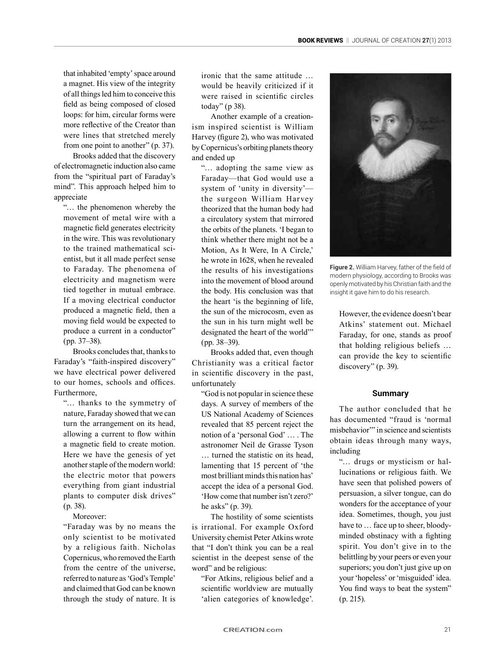that inhabited 'empty' space around a magnet. His view of the integrity of all things led him to conceive this field as being composed of closed loops: for him, circular forms were more reflective of the Creator than were lines that stretched merely from one point to another" (p. 37).

Brooks added that the discovery of electromagnetic induction also came from the "spiritual part of Faraday's mind". This approach helped him to appreciate

"… the phenomenon whereby the movement of metal wire with a magnetic field generates electricity in the wire. This was revolutionary to the trained mathematical scientist, but it all made perfect sense to Faraday. The phenomena of electricity and magnetism were tied together in mutual embrace. If a moving electrical conductor produced a magnetic field, then a moving field would be expected to produce a current in a conductor" (pp. 37–38).

Brooks concludes that, thanks to Faraday's "faith-inspired discovery" we have electrical power delivered to our homes, schools and offices. Furthermore,

"… thanks to the symmetry of nature, Faraday showed that we can turn the arrangement on its head, allowing a current to flow within a magnetic field to create motion. Here we have the genesis of yet another staple of the modern world: the electric motor that powers everything from giant industrial plants to computer disk drives" (p. 38).

Moreover:

"Faraday was by no means the only scientist to be motivated by a religious faith. Nicholas Copernicus, who removed the Earth from the centre of the universe, referred to nature as 'God's Temple' and claimed that God can be known through the study of nature. It is

ironic that the same attitude … would be heavily criticized if it were raised in scientific circles today" (p 38).

Another example of a creationism inspired scientist is William Harvey (figure 2), who was motivated by Copernicus's orbiting planets theory and ended up

"… adopting the same view as Faraday—that God would use a system of 'unity in diversity' the surgeon William Harvey theorized that the human body had a circulatory system that mirrored the orbits of the planets. 'I began to think whether there might not be a Motion, As It Were, In A Circle,' he wrote in 1628, when he revealed the results of his investigations into the movement of blood around the body. His conclusion was that the heart 'is the beginning of life, the sun of the microcosm, even as the sun in his turn might well be designated the heart of the world'" (pp. 38–39).

Brooks added that, even though Christianity was a critical factor in scientific discovery in the past, unfortunately

"God is not popular in science these days. A survey of members of the US National Academy of Sciences revealed that 85 percent reject the notion of a 'personal God' … . The astronomer Neil de Grasse Tyson … turned the statistic on its head, lamenting that 15 percent of 'the most brilliant minds this nation has' accept the idea of a personal God. 'How come that number isn't zero?' he asks" (p. 39).

The hostility of some scientists is irrational. For example Oxford University chemist Peter Atkins wrote that "I don't think you can be a real scientist in the deepest sense of the word" and be religious:

"For Atkins, religious belief and a scientific worldview are mutually 'alien categories of knowledge'.



**Figure 2.** William Harvey, father of the field of modern physiology, according to Brooks was openly motivated by his Christian faith and the insight it gave him to do his research.

However, the evidence doesn't bear Atkins' statement out. Michael Faraday, for one, stands as proof that holding religious beliefs … can provide the key to scientific discovery" (p. 39).

### **Summary**

The author concluded that he has documented "fraud is 'normal misbehavior'" in science and scientists obtain ideas through many ways, including

"… drugs or mysticism or hallucinations or religious faith. We have seen that polished powers of persuasion, a silver tongue, can do wonders for the acceptance of your idea. Sometimes, though, you just have to … face up to sheer, bloodyminded obstinacy with a fighting spirit. You don't give in to the belittling by your peers or even your superiors; you don't just give up on your 'hopeless' or 'misguided' idea. You find ways to beat the system" (p. 215).